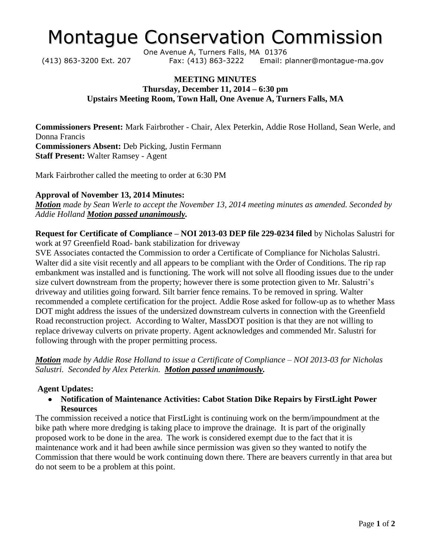# Montague Conservation Commission

One Avenue A, Turners Falls, MA 01376 (413) 863-3200 Ext. 207 Fax: (413) 863-3222 Email: planner@montague-ma.gov

### **MEETING MINUTES Thursday, December 11, 2014 – 6:30 pm Upstairs Meeting Room, Town Hall, One Avenue A, Turners Falls, MA**

**Commissioners Present:** Mark Fairbrother - Chair, Alex Peterkin, Addie Rose Holland, Sean Werle, and Donna Francis **Commissioners Absent:** Deb Picking, Justin Fermann **Staff Present:** Walter Ramsey - Agent

Mark Fairbrother called the meeting to order at 6:30 PM

### **Approval of November 13, 2014 Minutes:**

*Motion made by Sean Werle to accept the November 13, 2014 meeting minutes as amended. Seconded by Addie Holland Motion passed unanimously.* 

**Request for Certificate of Compliance – NOI 2013-03 DEP file 229-0234 filed** by Nicholas Salustri for work at 97 Greenfield Road- bank stabilization for driveway

SVE Associates contacted the Commission to order a Certificate of Compliance for Nicholas Salustri. Walter did a site visit recently and all appears to be compliant with the Order of Conditions. The rip rap embankment was installed and is functioning. The work will not solve all flooding issues due to the under size culvert downstream from the property; however there is some protection given to Mr. Salustri's driveway and utilities going forward. Silt barrier fence remains. To be removed in spring. Walter recommended a complete certification for the project. Addie Rose asked for follow-up as to whether Mass DOT might address the issues of the undersized downstream culverts in connection with the Greenfield Road reconstruction project. According to Walter, MassDOT position is that they are not willing to replace driveway culverts on private property. Agent acknowledges and commended Mr. Salustri for following through with the proper permitting process.

*Motion made by Addie Rose Holland to issue a Certificate of Compliance – NOI 2013-03 for Nicholas Salustri. Seconded by Alex Peterkin. Motion passed unanimously.* 

### **Agent Updates:**

**Notification of Maintenance Activities: Cabot Station Dike Repairs by FirstLight Power Resources**

The commission received a notice that FirstLight is continuing work on the berm/impoundment at the bike path where more dredging is taking place to improve the drainage. It is part of the originally proposed work to be done in the area. The work is considered exempt due to the fact that it is maintenance work and it had been awhile since permission was given so they wanted to notify the Commission that there would be work continuing down there. There are beavers currently in that area but do not seem to be a problem at this point.